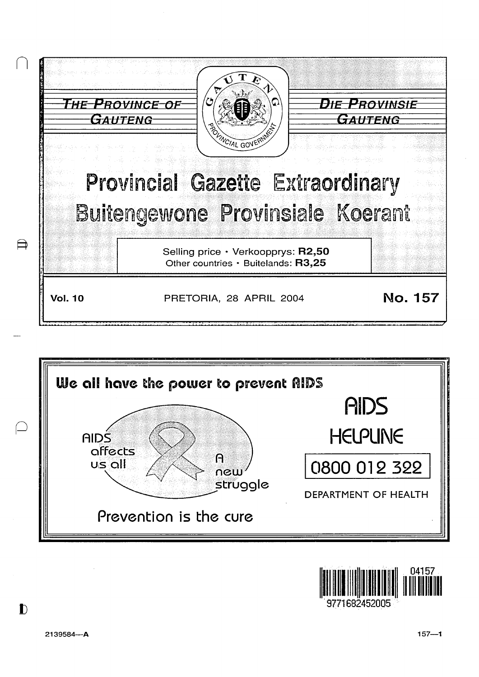





71682452005

 $\mathbf{D}$